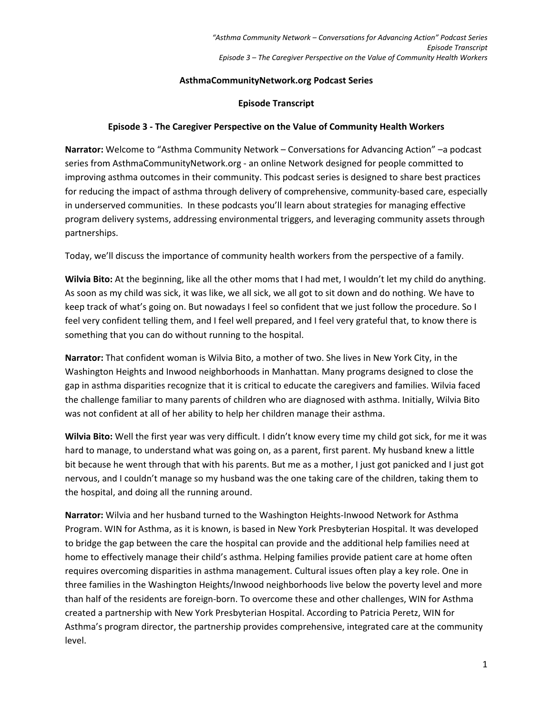## **AsthmaCommunityNetwork.org Podcast Series**

## **Episode Transcript**

## **Episode 3 ‐ The Caregiver Perspective on the Value of Community Health Workers**

**Narrator:** Welcome to "Asthma Community Network – Conversations for Advancing Action" –a podcast series from AsthmaCommunityNetwork.org ‐ an online Network designed for people committed to improving asthma outcomes in their community. This podcast series is designed to share best practices for reducing the impact of asthma through delivery of comprehensive, community-based care, especially in underserved communities. In these podcasts you'll learn about strategies for managing effective program delivery systems, addressing environmental triggers, and leveraging community assets through partnerships.

Today, we'll discuss the importance of community health workers from the perspective of a family.

**Wilvia Bito:** At the beginning, like all the other moms that I had met, I wouldn't let my child do anything. As soon as my child was sick, it was like, we all sick, we all got to sit down and do nothing. We have to keep track of what's going on. But nowadays I feel so confident that we just follow the procedure. So I feel very confident telling them, and I feel well prepared, and I feel very grateful that, to know there is something that you can do without running to the hospital.

**Narrator:** That confident woman is Wilvia Bito, a mother of two. She lives in New York City, in the Washington Heights and Inwood neighborhoods in Manhattan. Many programs designed to close the gap in asthma disparities recognize that it is critical to educate the caregivers and families. Wilvia faced the challenge familiar to many parents of children who are diagnosed with asthma. Initially, Wilvia Bito was not confident at all of her ability to help her children manage their asthma.

**Wilvia Bito:** Well the first year was very difficult. I didn't know every time my child got sick, for me it was hard to manage, to understand what was going on, as a parent, first parent. My husband knew a little bit because he went through that with his parents. But me as a mother, I just got panicked and I just got nervous, and I couldn't manage so my husband was the one taking care of the children, taking them to the hospital, and doing all the running around.

**Narrator:** Wilvia and her husband turned to the Washington Heights‐Inwood Network for Asthma Program. WIN for Asthma, as it is known, is based in New York Presbyterian Hospital. It was developed to bridge the gap between the care the hospital can provide and the additional help families need at home to effectively manage their child's asthma. Helping families provide patient care at home often requires overcoming disparities in asthma management. Cultural issues often play a key role. One in three families in the Washington Heights/Inwood neighborhoods live below the poverty level and more than half of the residents are foreign-born. To overcome these and other challenges, WIN for Asthma created a partnership with New York Presbyterian Hospital. According to Patricia Peretz, WIN for Asthma's program director, the partnership provides comprehensive, integrated care at the community level.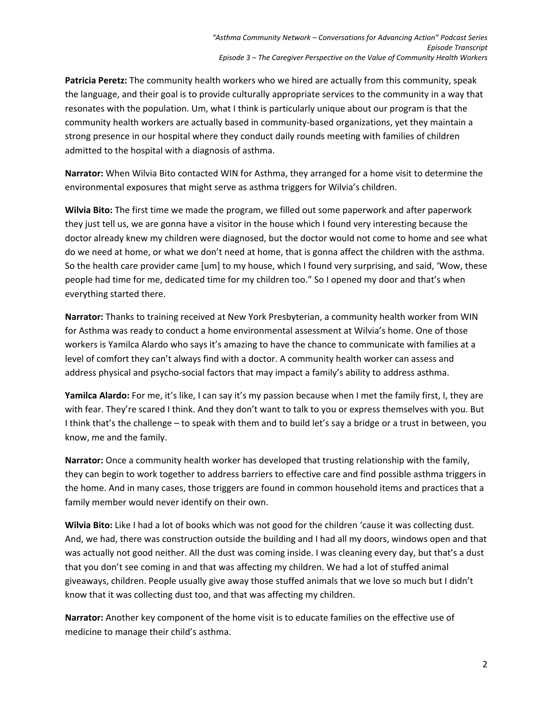**Patricia Peretz:** The community health workers who we hired are actually from this community, speak the language, and their goal is to provide culturally appropriate services to the community in a way that resonates with the population. Um, what I think is particularly unique about our program is that the community health workers are actually based in community-based organizations, yet they maintain a strong presence in our hospital where they conduct daily rounds meeting with families of children admitted to the hospital with a diagnosis of asthma.

**Narrator:** When Wilvia Bito contacted WIN for Asthma, they arranged for a home visit to determine the environmental exposures that might serve as asthma triggers for Wilvia's children.

**Wilvia Bito:** The first time we made the program, we filled out some paperwork and after paperwork they just tell us, we are gonna have a visitor in the house which I found very interesting because the doctor already knew my children were diagnosed, but the doctor would not come to home and see what do we need at home, or what we don't need at home, that is gonna affect the children with the asthma. So the health care provider came [um] to my house, which I found very surprising, and said, 'Wow, these people had time for me, dedicated time for my children too." So I opened my door and that's when everything started there.

**Narrator:** Thanks to training received at New York Presbyterian, a community health worker from WIN for Asthma was ready to conduct a home environmental assessment at Wilvia's home. One of those workers is Yamilca Alardo who says it's amazing to have the chance to communicate with families at a level of comfort they can't always find with a doctor. A community health worker can assess and address physical and psycho‐social factors that may impact a family's ability to address asthma.

**Yamilca Alardo:** For me, it's like, I can say it's my passion because when I met the family first, I, they are with fear. They're scared I think. And they don't want to talk to you or express themselves with you. But I think that's the challenge – to speak with them and to build let's say a bridge or a trust in between, you know, me and the family.

**Narrator:** Once a community health worker has developed that trusting relationship with the family, they can begin to work together to address barriers to effective care and find possible asthma triggers in the home. And in many cases, those triggers are found in common household items and practices that a family member would never identify on their own.

**Wilvia Bito:** Like I had a lot of books which was not good for the children 'cause it was collecting dust. And, we had, there was construction outside the building and I had all my doors, windows open and that was actually not good neither. All the dust was coming inside. I was cleaning every day, but that's a dust that you don't see coming in and that was affecting my children. We had a lot of stuffed animal giveaways, children. People usually give away those stuffed animals that we love so much but I didn't know that it was collecting dust too, and that was affecting my children.

**Narrator:** Another key component of the home visit is to educate families on the effective use of medicine to manage their child's asthma.